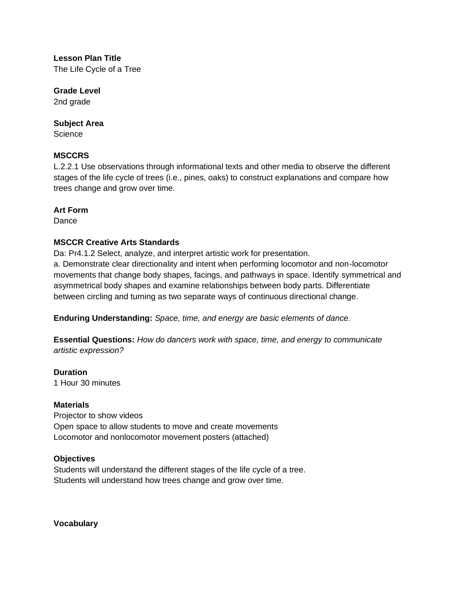**Lesson Plan Title** The Life Cycle of a Tree

**Grade Level** 2nd grade

## **Subject Area**

**Science** 

# **MSCCRS**

L.2.2.1 Use observations through informational texts and other media to observe the different stages of the life cycle of trees (i.e., pines, oaks) to construct explanations and compare how trees change and grow over time.

## **Art Form**

**Dance** 

# **MSCCR Creative Arts Standards**

Da: Pr4.1.2 Select, analyze, and interpret artistic work for presentation. a. Demonstrate clear directionality and intent when performing locomotor and non-locomotor movements that change body shapes, facings, and pathways in space. Identify symmetrical and asymmetrical body shapes and examine relationships between body parts. Differentiate between circling and turning as two separate ways of continuous directional change.

**Enduring Understanding:** *Space, time, and energy are basic elements of dance.*

**Essential Questions:** *How do dancers work with space, time, and energy to communicate artistic expression?*

**Duration** 1 Hour 30 minutes

# **Materials**

Projector to show videos Open space to allow students to move and create movements Locomotor and nonlocomotor movement posters (attached)

# **Objectives**

Students will understand the different stages of the life cycle of a tree. Students will understand how trees change and grow over time.

**Vocabulary**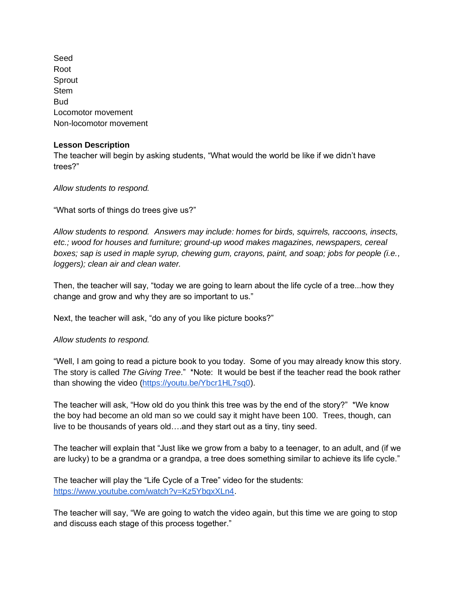Seed Root Sprout **Stem** Bud Locomotor movement Non-locomotor movement

#### **Lesson Description**

The teacher will begin by asking students, "What would the world be like if we didn't have trees?"

*Allow students to respond.*

"What sorts of things do trees give us?"

*Allow students to respond. Answers may include: homes for birds, squirrels, raccoons, insects, etc.; wood for houses and furniture; ground-up wood makes magazines, newspapers, cereal boxes; sap is used in maple syrup, chewing gum, crayons, paint, and soap; jobs for people (i.e., loggers); clean air and clean water.* 

Then, the teacher will say, "today we are going to learn about the life cycle of a tree...how they change and grow and why they are so important to us."

Next, the teacher will ask, "do any of you like picture books?"

*Allow students to respond.*

"Well, I am going to read a picture book to you today. Some of you may already know this story. The story is called *The Giving Tree*." \*Note: It would be best if the teacher read the book rather than showing the video [\(https://youtu.be/Ybcr1HL7sq0\)](https://youtu.be/Ybcr1HL7sq0).

The teacher will ask, "How old do you think this tree was by the end of the story?" \*We know the boy had become an old man so we could say it might have been 100. Trees, though, can live to be thousands of years old….and they start out as a tiny, tiny seed.

The teacher will explain that "Just like we grow from a baby to a teenager, to an adult, and (if we are lucky) to be a grandma or a grandpa, a tree does something similar to achieve its life cycle."

The teacher will play the "Life Cycle of a Tree" video for the students: [https://www.youtube.com/watch?v=Kz5YbqxXLn4.](https://www.youtube.com/watch?v=Kz5YbqxXLn4)

The teacher will say, "We are going to watch the video again, but this time we are going to stop and discuss each stage of this process together."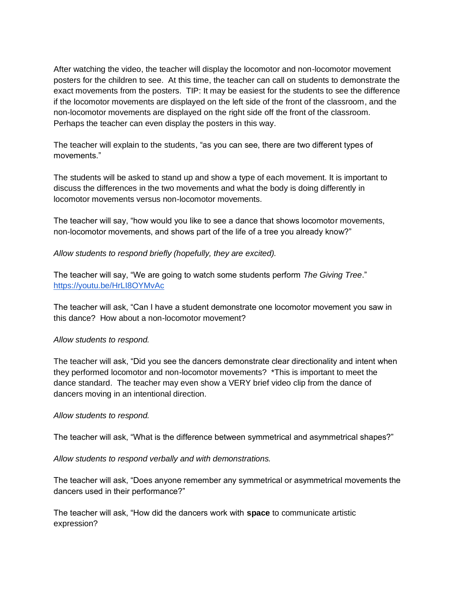After watching the video, the teacher will display the locomotor and non-locomotor movement posters for the children to see. At this time, the teacher can call on students to demonstrate the exact movements from the posters. TIP: It may be easiest for the students to see the difference if the locomotor movements are displayed on the left side of the front of the classroom, and the non-locomotor movements are displayed on the right side off the front of the classroom. Perhaps the teacher can even display the posters in this way.

The teacher will explain to the students, "as you can see, there are two different types of movements."

The students will be asked to stand up and show a type of each movement. It is important to discuss the differences in the two movements and what the body is doing differently in locomotor movements versus non-locomotor movements.

The teacher will say, "how would you like to see a dance that shows locomotor movements, non-locomotor movements, and shows part of the life of a tree you already know?"

*Allow students to respond briefly (hopefully, they are excited).*

The teacher will say, "We are going to watch some students perform *The Giving Tree*." <https://youtu.be/HrLI8OYMvAc>

The teacher will ask, "Can I have a student demonstrate one locomotor movement you saw in this dance? How about a non-locomotor movement?

## *Allow students to respond.*

The teacher will ask, "Did you see the dancers demonstrate clear directionality and intent when they performed locomotor and non-locomotor movements? \*This is important to meet the dance standard. The teacher may even show a VERY brief video clip from the dance of dancers moving in an intentional direction.

#### *Allow students to respond.*

The teacher will ask, "What is the difference between symmetrical and asymmetrical shapes?"

#### *Allow students to respond verbally and with demonstrations.*

The teacher will ask, "Does anyone remember any symmetrical or asymmetrical movements the dancers used in their performance?"

The teacher will ask, "How did the dancers work with **space** to communicate artistic expression?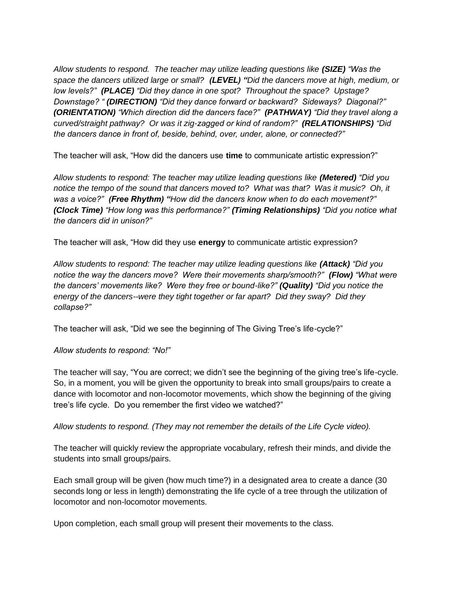*Allow students to respond. The teacher may utilize leading questions like (SIZE) "Was the space the dancers utilized large or small? (LEVEL) "Did the dancers move at high, medium, or low levels?" (PLACE) "Did they dance in one spot? Throughout the space? Upstage? Downstage? " (DIRECTION) "Did they dance forward or backward? Sideways? Diagonal?" (ORIENTATION) "Which direction did the dancers face?" (PATHWAY) "Did they travel along a curved/straight pathway? Or was it zig-zagged or kind of random?" (RELATIONSHIPS) "Did the dancers dance in front of, beside, behind, over, under, alone, or connected?"*

The teacher will ask, "How did the dancers use **time** to communicate artistic expression?"

*Allow students to respond: The teacher may utilize leading questions like (Metered) "Did you notice the tempo of the sound that dancers moved to? What was that? Was it music? Oh, it was a voice?" (Free Rhythm) "How did the dancers know when to do each movement?" (Clock Time) "How long was this performance?" (Timing Relationships) "Did you notice what the dancers did in unison?"*

The teacher will ask, "How did they use **energy** to communicate artistic expression?

*Allow students to respond: The teacher may utilize leading questions like (Attack) "Did you notice the way the dancers move? Were their movements sharp/smooth?" (Flow) "What were the dancers' movements like? Were they free or bound-like?" (Quality) "Did you notice the energy of the dancers--were they tight together or far apart? Did they sway? Did they collapse?"* 

The teacher will ask, "Did we see the beginning of The Giving Tree's life-cycle?"

*Allow students to respond: "No!"*

The teacher will say, "You are correct; we didn't see the beginning of the giving tree's life-cycle. So, in a moment, you will be given the opportunity to break into small groups/pairs to create a dance with locomotor and non-locomotor movements, which show the beginning of the giving tree's life cycle. Do you remember the first video we watched?"

*Allow students to respond. (They may not remember the details of the Life Cycle video).* 

The teacher will quickly review the appropriate vocabulary, refresh their minds, and divide the students into small groups/pairs.

Each small group will be given (how much time?) in a designated area to create a dance (30 seconds long or less in length) demonstrating the life cycle of a tree through the utilization of locomotor and non-locomotor movements.

Upon completion, each small group will present their movements to the class.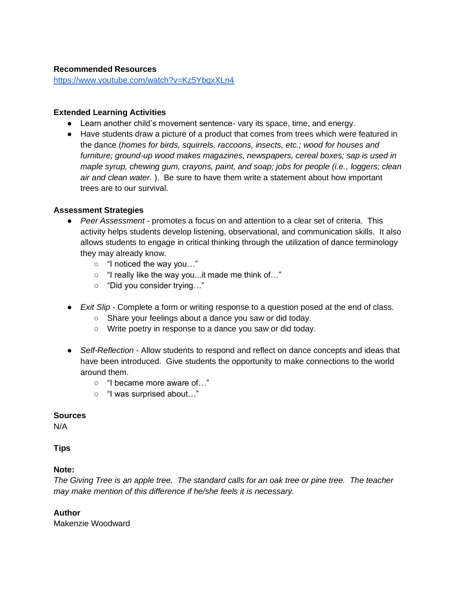### **Recommended Resources**

<https://www.youtube.com/watch?v=Kz5YbqxXLn4>

#### **Extended Learning Activities**

- Learn another child's movement sentence- vary its space, time, and energy.
- Have students draw a picture of a product that comes from trees which were featured in the dance (*homes for birds, squirrels, raccoons, insects, etc.; wood for houses and furniture; ground-up wood makes magazines, newspapers, cereal boxes; sap is used in maple syrup, chewing gum, crayons, paint, and soap; jobs for people (i.e., loggers; clean air and clean water.* ). Be sure to have them write a statement about how important trees are to our survival.

#### **Assessment Strategies**

- *Peer Assessment*  promotes a focus on and attention to a clear set of criteria. This activity helps students develop listening, observational, and communication skills. It also allows students to engage in critical thinking through the utilization of dance terminology they may already know.
	- "I noticed the way you…"
	- "I really like the way you...it made me think of…"
	- "Did you consider trying…"
- *Exit Slip* Complete a form or writing response to a question posed at the end of class.
	- Share your feelings about a dance you saw or did today.
	- Write poetry in response to a dance you saw or did today.
- *Self-Reflection* Allow students to respond and reflect on dance concepts and ideas that have been introduced. Give students the opportunity to make connections to the world around them.
	- "I became more aware of…"
	- "I was surprised about…"

#### **Sources**

N/A

## **Tips**

## **Note:**

*The Giving Tree is an apple tree. The standard calls for an oak tree or pine tree. The teacher may make mention of this difference if he/she feels it is necessary.* 

## **Author**

Makenzie Woodward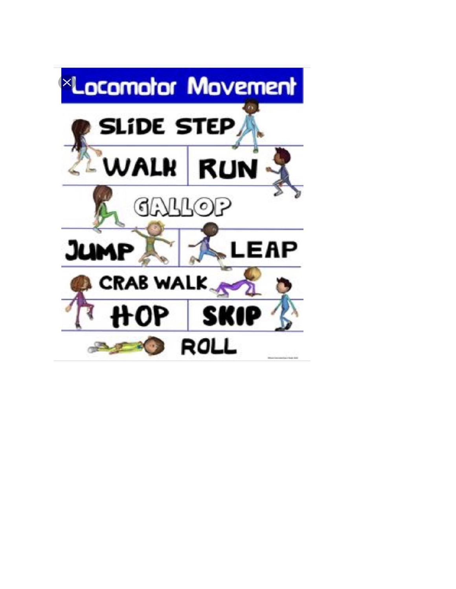